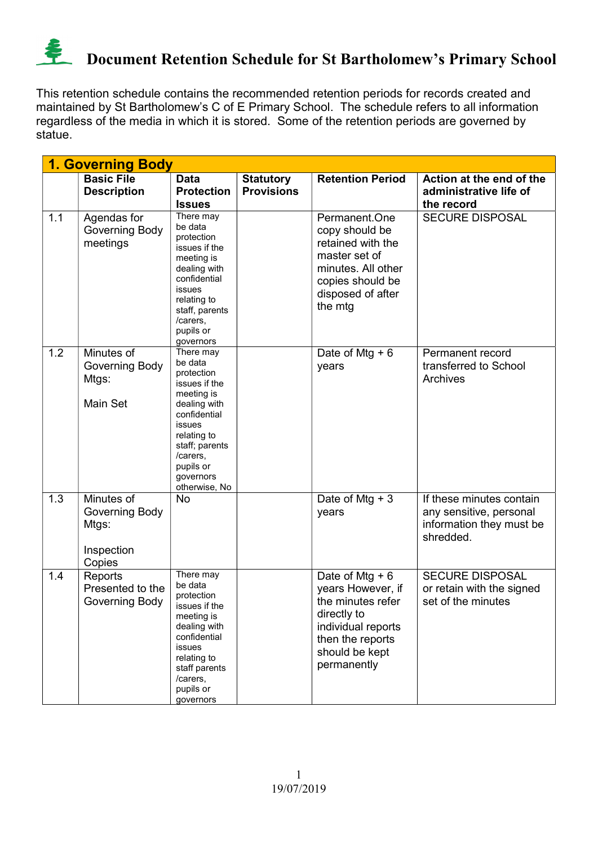

This retention schedule contains the recommended retention periods for records created and maintained by St Bartholomew's C of E Primary School. The schedule refers to all information regardless of the media in which it is stored. Some of the retention periods are governed by statue.

|     | <b>1. Governing Body</b>                                      |                                                                                                                                                                                                            |                                       |                                                                                                                                                      |                                                                                              |  |  |  |
|-----|---------------------------------------------------------------|------------------------------------------------------------------------------------------------------------------------------------------------------------------------------------------------------------|---------------------------------------|------------------------------------------------------------------------------------------------------------------------------------------------------|----------------------------------------------------------------------------------------------|--|--|--|
|     | <b>Basic File</b><br><b>Description</b>                       | <b>Data</b><br><b>Protection</b><br><b>Issues</b>                                                                                                                                                          | <b>Statutory</b><br><b>Provisions</b> | <b>Retention Period</b>                                                                                                                              | Action at the end of the<br>administrative life of<br>the record                             |  |  |  |
| 1.1 | Agendas for<br>Governing Body<br>meetings                     | There may<br>be data<br>protection<br>issues if the<br>meeting is<br>dealing with<br>confidential<br><b>issues</b><br>relating to<br>staff, parents<br>/carers,<br>pupils or<br>governors                  |                                       | Permanent.One<br>copy should be<br>retained with the<br>master set of<br>minutes. All other<br>copies should be<br>disposed of after<br>the mtg      | <b>SECURE DISPOSAL</b>                                                                       |  |  |  |
| 1.2 | Minutes of<br><b>Governing Body</b><br>Mtgs:<br>Main Set      | There may<br>be data<br>protection<br>issues if the<br>meeting is<br>dealing with<br>confidential<br><b>issues</b><br>relating to<br>staff; parents<br>/carers,<br>pupils or<br>governors<br>otherwise, No |                                       | Date of Mtg $+6$<br>years                                                                                                                            | Permanent record<br>transferred to School<br>Archives                                        |  |  |  |
| 1.3 | Minutes of<br>Governing Body<br>Mtgs:<br>Inspection<br>Copies | <b>No</b>                                                                                                                                                                                                  |                                       | Date of Mtg $+3$<br>years                                                                                                                            | If these minutes contain<br>any sensitive, personal<br>information they must be<br>shredded. |  |  |  |
| 1.4 | Reports<br>Presented to the<br>Governing Body                 | There may<br>be data<br>protection<br>issues if the<br>meeting is<br>dealing with<br>confidential<br>issues<br>relating to<br>staff parents<br>/carers,<br>pupils or<br>governors                          |                                       | Date of Mtg $+6$<br>years However, if<br>the minutes refer<br>directly to<br>individual reports<br>then the reports<br>should be kept<br>permanently | <b>SECURE DISPOSAL</b><br>or retain with the signed<br>set of the minutes                    |  |  |  |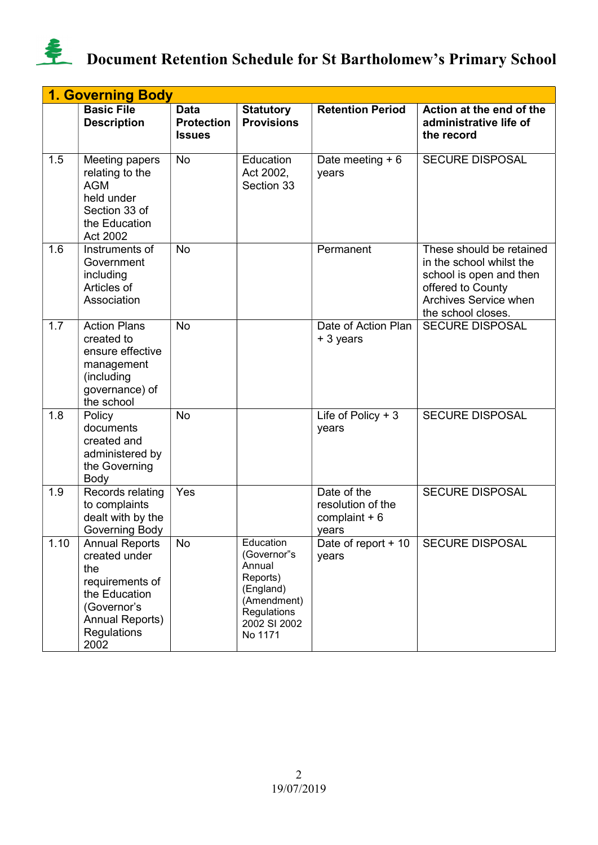

|      | <b>1. Governing Body</b>                                                                                                                          |                                                   |                                                                                                                      |                                                             |                                                                                                                                                     |  |  |  |
|------|---------------------------------------------------------------------------------------------------------------------------------------------------|---------------------------------------------------|----------------------------------------------------------------------------------------------------------------------|-------------------------------------------------------------|-----------------------------------------------------------------------------------------------------------------------------------------------------|--|--|--|
|      | <b>Basic File</b><br><b>Description</b>                                                                                                           | <b>Data</b><br><b>Protection</b><br><b>Issues</b> | <b>Statutory</b><br><b>Provisions</b>                                                                                | <b>Retention Period</b>                                     | Action at the end of the<br>administrative life of<br>the record                                                                                    |  |  |  |
| 1.5  | Meeting papers<br>relating to the<br><b>AGM</b><br>held under<br>Section 33 of<br>the Education<br>Act 2002                                       | No                                                | Education<br>Act 2002,<br>Section 33                                                                                 | Date meeting $+6$<br>years                                  | <b>SECURE DISPOSAL</b>                                                                                                                              |  |  |  |
| 1.6  | Instruments of<br>Government<br>including<br>Articles of<br>Association                                                                           | <b>No</b>                                         |                                                                                                                      | Permanent                                                   | These should be retained<br>in the school whilst the<br>school is open and then<br>offered to County<br>Archives Service when<br>the school closes. |  |  |  |
| 1.7  | <b>Action Plans</b><br>created to<br>ensure effective<br>management<br>(including<br>governance) of<br>the school                                 | <b>No</b>                                         |                                                                                                                      | Date of Action Plan<br>+ 3 years                            | <b>SECURE DISPOSAL</b>                                                                                                                              |  |  |  |
| 1.8  | Policy<br>documents<br>created and<br>administered by<br>the Governing<br>Body                                                                    | <b>No</b>                                         |                                                                                                                      | Life of Policy + $3$<br>years                               | <b>SECURE DISPOSAL</b>                                                                                                                              |  |  |  |
| 1.9  | Records relating<br>to complaints<br>dealt with by the<br>Governing Body                                                                          | Yes                                               |                                                                                                                      | Date of the<br>resolution of the<br>complaint $+6$<br>years | <b>SECURE DISPOSAL</b>                                                                                                                              |  |  |  |
| 1.10 | <b>Annual Reports</b><br>created under<br>the<br>requirements of<br>the Education<br>(Governor's<br><b>Annual Reports)</b><br>Regulations<br>2002 | No                                                | Education<br>(Governor"s<br>Annual<br>Reports)<br>(England)<br>(Amendment)<br>Regulations<br>2002 SI 2002<br>No 1171 | Date of report + 10<br>years                                | <b>SECURE DISPOSAL</b>                                                                                                                              |  |  |  |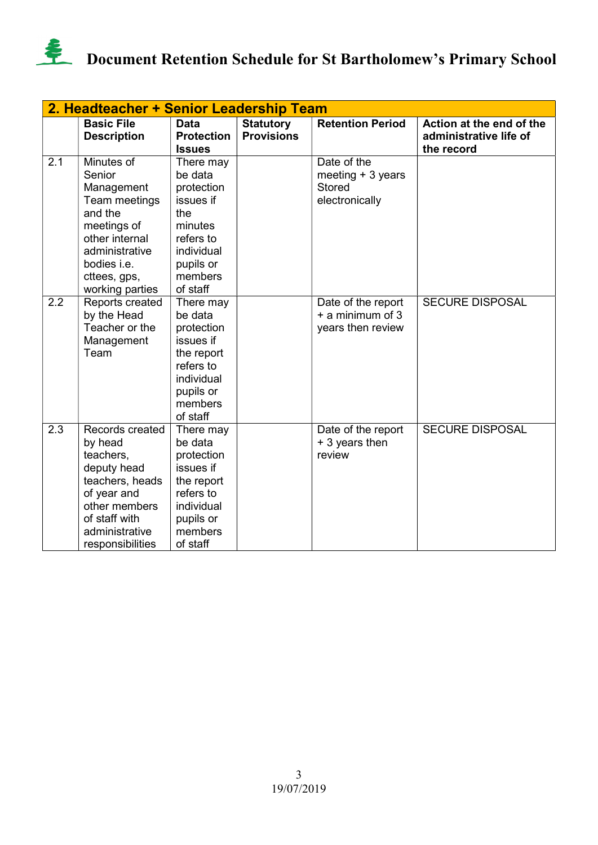

|     | 2. Headteacher + Senior Leadership Team                                                                                                                             |                                                                                                                                  |                                       |                                                                      |                                                                  |  |  |
|-----|---------------------------------------------------------------------------------------------------------------------------------------------------------------------|----------------------------------------------------------------------------------------------------------------------------------|---------------------------------------|----------------------------------------------------------------------|------------------------------------------------------------------|--|--|
|     | <b>Basic File</b><br><b>Description</b>                                                                                                                             | <b>Data</b><br><b>Protection</b><br><b>Issues</b>                                                                                | <b>Statutory</b><br><b>Provisions</b> | <b>Retention Period</b>                                              | Action at the end of the<br>administrative life of<br>the record |  |  |
| 2.1 | Minutes of<br>Senior<br>Management<br>Team meetings<br>and the<br>meetings of<br>other internal<br>administrative<br>bodies i.e.<br>cttees, gps,<br>working parties | There may<br>be data<br>protection<br>issues if<br>the<br>minutes<br>refers to<br>individual<br>pupils or<br>members<br>of staff |                                       | Date of the<br>meeting $+3$ years<br><b>Stored</b><br>electronically |                                                                  |  |  |
| 2.2 | Reports created<br>by the Head<br>Teacher or the<br>Management<br>Team                                                                                              | There may<br>be data<br>protection<br>issues if<br>the report<br>refers to<br>individual<br>pupils or<br>members<br>of staff     |                                       | Date of the report<br>+ a minimum of 3<br>years then review          | <b>SECURE DISPOSAL</b>                                           |  |  |
| 2.3 | Records created<br>by head<br>teachers,<br>deputy head<br>teachers, heads<br>of year and<br>other members<br>of staff with<br>administrative<br>responsibilities    | There may<br>be data<br>protection<br>issues if<br>the report<br>refers to<br>individual<br>pupils or<br>members<br>of staff     |                                       | Date of the report<br>+ 3 years then<br>review                       | <b>SECURE DISPOSAL</b>                                           |  |  |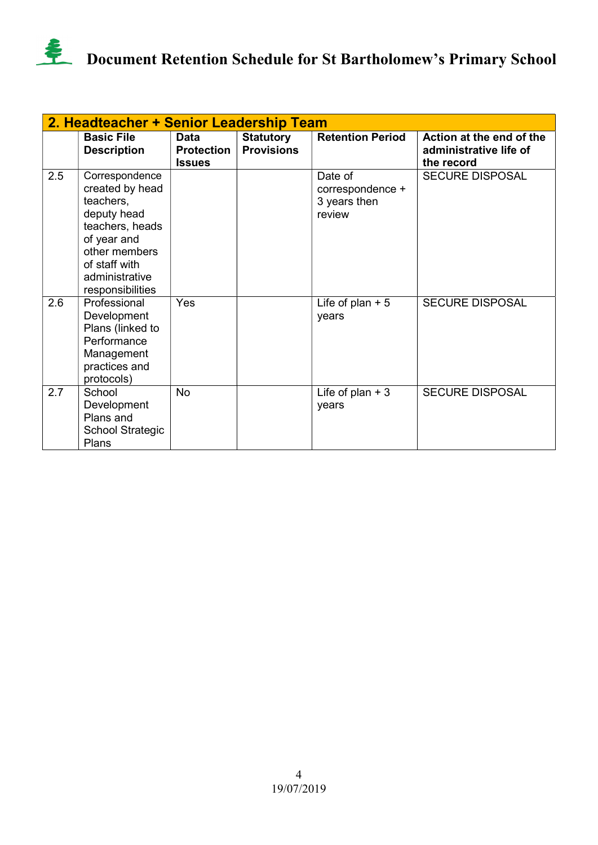

|     | 2. Headteacher + Senior Leadership Team                                                                                                                                 |                                                   |                                       |                                                       |                                                                  |  |  |  |
|-----|-------------------------------------------------------------------------------------------------------------------------------------------------------------------------|---------------------------------------------------|---------------------------------------|-------------------------------------------------------|------------------------------------------------------------------|--|--|--|
|     | <b>Basic File</b><br><b>Description</b>                                                                                                                                 | <b>Data</b><br><b>Protection</b><br><b>Issues</b> | <b>Statutory</b><br><b>Provisions</b> | <b>Retention Period</b>                               | Action at the end of the<br>administrative life of<br>the record |  |  |  |
| 2.5 | Correspondence<br>created by head<br>teachers,<br>deputy head<br>teachers, heads<br>of year and<br>other members<br>of staff with<br>administrative<br>responsibilities |                                                   |                                       | Date of<br>correspondence +<br>3 years then<br>review | <b>SECURE DISPOSAL</b>                                           |  |  |  |
| 2.6 | Professional<br>Development<br>Plans (linked to<br>Performance<br>Management<br>practices and<br>protocols)                                                             | Yes                                               |                                       | Life of plan $+5$<br>years                            | <b>SECURE DISPOSAL</b>                                           |  |  |  |
| 2.7 | School<br>Development<br>Plans and<br><b>School Strategic</b><br>Plans                                                                                                  | <b>No</b>                                         |                                       | Life of plan $+3$<br>years                            | <b>SECURE DISPOSAL</b>                                           |  |  |  |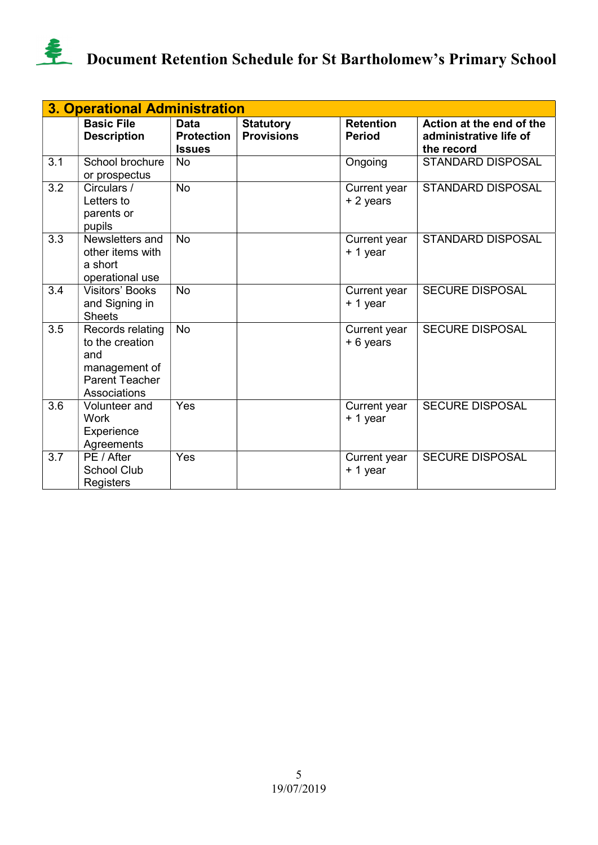

|     | <b>3. Operational Administration</b>                                                                 |                                                   |                                       |                                   |                                                                  |  |  |  |
|-----|------------------------------------------------------------------------------------------------------|---------------------------------------------------|---------------------------------------|-----------------------------------|------------------------------------------------------------------|--|--|--|
|     | <b>Basic File</b><br><b>Description</b>                                                              | <b>Data</b><br><b>Protection</b><br><b>Issues</b> | <b>Statutory</b><br><b>Provisions</b> | <b>Retention</b><br><b>Period</b> | Action at the end of the<br>administrative life of<br>the record |  |  |  |
| 3.1 | School brochure<br>or prospectus                                                                     | <b>No</b>                                         |                                       | Ongoing                           | <b>STANDARD DISPOSAL</b>                                         |  |  |  |
| 3.2 | Circulars /<br>Letters to<br>parents or<br>pupils                                                    | <b>No</b>                                         |                                       | Current year<br>+ 2 years         | <b>STANDARD DISPOSAL</b>                                         |  |  |  |
| 3.3 | Newsletters and<br>other items with<br>a short<br>operational use                                    | <b>No</b>                                         |                                       | Current year<br>+ 1 year          | <b>STANDARD DISPOSAL</b>                                         |  |  |  |
| 3.4 | <b>Visitors' Books</b><br>and Signing in<br><b>Sheets</b>                                            | <b>No</b>                                         |                                       | Current year<br>+ 1 year          | <b>SECURE DISPOSAL</b>                                           |  |  |  |
| 3.5 | Records relating<br>to the creation<br>and<br>management of<br><b>Parent Teacher</b><br>Associations | <b>No</b>                                         |                                       | Current year<br>+ 6 years         | <b>SECURE DISPOSAL</b>                                           |  |  |  |
| 3.6 | Volunteer and<br>Work<br>Experience<br>Agreements                                                    | Yes                                               |                                       | Current year<br>+ 1 year          | <b>SECURE DISPOSAL</b>                                           |  |  |  |
| 3.7 | PE / After<br><b>School Club</b><br>Registers                                                        | Yes                                               |                                       | Current year<br>+ 1 year          | <b>SECURE DISPOSAL</b>                                           |  |  |  |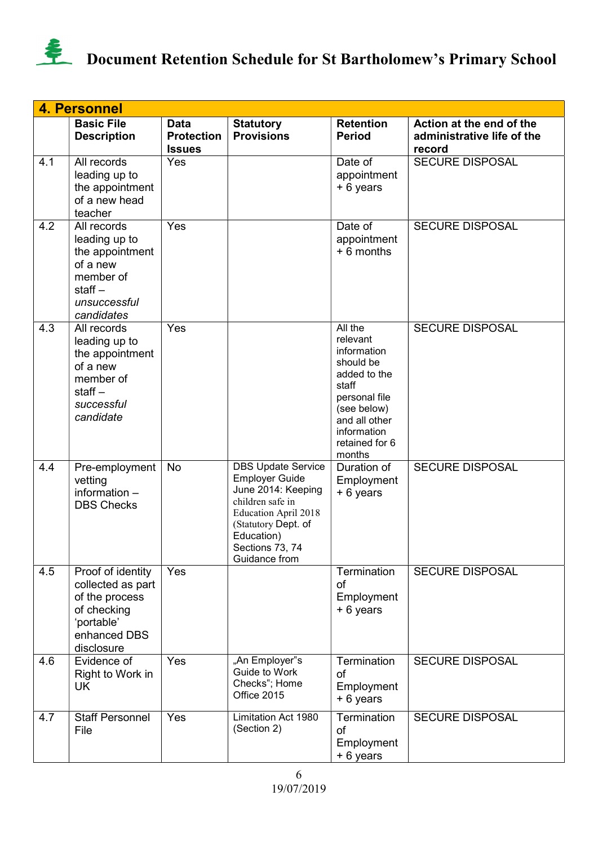

|     | <b>4. Personnel</b>                                                                                                 |                                                   |                                                                                                                                                                                                      |                                                                                                                                                                      |                                                                  |  |  |
|-----|---------------------------------------------------------------------------------------------------------------------|---------------------------------------------------|------------------------------------------------------------------------------------------------------------------------------------------------------------------------------------------------------|----------------------------------------------------------------------------------------------------------------------------------------------------------------------|------------------------------------------------------------------|--|--|
|     | <b>Basic File</b><br><b>Description</b>                                                                             | <b>Data</b><br><b>Protection</b><br><b>Issues</b> | <b>Statutory</b><br><b>Provisions</b>                                                                                                                                                                | <b>Retention</b><br><b>Period</b>                                                                                                                                    | Action at the end of the<br>administrative life of the<br>record |  |  |
| 4.1 | All records<br>leading up to<br>the appointment<br>of a new head<br>teacher                                         | Yes                                               |                                                                                                                                                                                                      | Date of<br>appointment<br>+ 6 years                                                                                                                                  | <b>SECURE DISPOSAL</b>                                           |  |  |
| 4.2 | All records<br>leading up to<br>the appointment<br>of a new<br>member of<br>staff $-$<br>unsuccessful<br>candidates | Yes                                               |                                                                                                                                                                                                      | Date of<br>appointment<br>$+6$ months                                                                                                                                | <b>SECURE DISPOSAL</b>                                           |  |  |
| 4.3 | All records<br>leading up to<br>the appointment<br>of a new<br>member of<br>staff $-$<br>successful<br>candidate    | Yes                                               |                                                                                                                                                                                                      | All the<br>relevant<br>information<br>should be<br>added to the<br>staff<br>personal file<br>(see below)<br>and all other<br>information<br>retained for 6<br>months | <b>SECURE DISPOSAL</b>                                           |  |  |
| 4.4 | Pre-employment<br>vetting<br>information -<br><b>DBS Checks</b>                                                     | No                                                | <b>DBS Update Service</b><br><b>Employer Guide</b><br>June 2014: Keeping<br>children safe in<br><b>Education April 2018</b><br>(Statutory Dept. of<br>Education)<br>Sections 73, 74<br>Guidance from | Duration of<br>Employment<br>+ 6 years                                                                                                                               | <b>SECURE DISPOSAL</b>                                           |  |  |
| 4.5 | Proof of identity<br>collected as part<br>of the process<br>of checking<br>'portable'<br>enhanced DBS<br>disclosure | Yes                                               |                                                                                                                                                                                                      | Termination<br><b>of</b><br>Employment<br>+ 6 years                                                                                                                  | <b>SECURE DISPOSAL</b>                                           |  |  |
| 4.6 | Evidence of<br>Right to Work in<br>UK                                                                               | Yes                                               | "An Employer"s<br>Guide to Work<br>Checks"; Home<br>Office 2015                                                                                                                                      | Termination<br>of<br>Employment<br>+ 6 years                                                                                                                         | <b>SECURE DISPOSAL</b>                                           |  |  |
| 4.7 | <b>Staff Personnel</b><br>File                                                                                      | Yes                                               | <b>Limitation Act 1980</b><br>(Section 2)                                                                                                                                                            | Termination<br>of<br>Employment<br>+ 6 years                                                                                                                         | <b>SECURE DISPOSAL</b>                                           |  |  |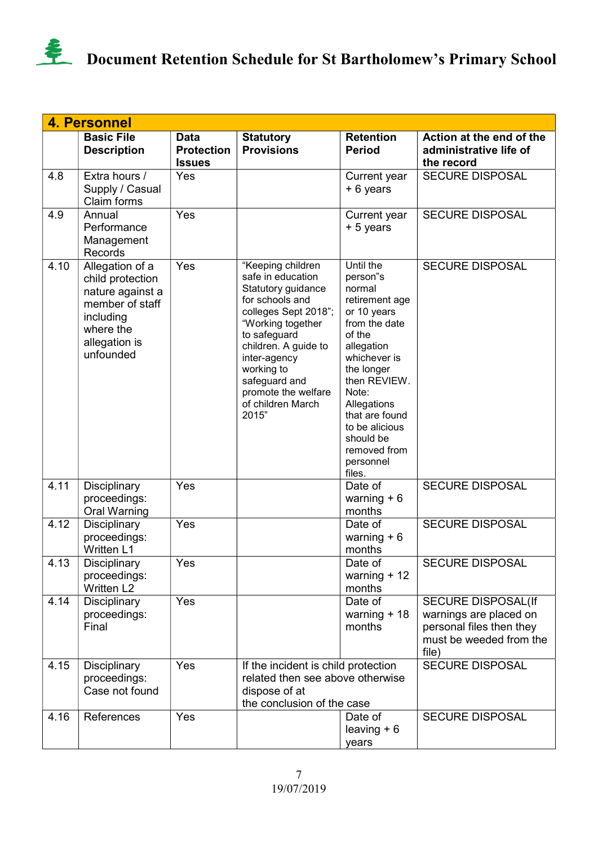

|      | <b>4. Personnel</b>                                                                                                                |                                                   |                                                                                                                                                                                                                                                                          |                                                                                                                                                                                                                                                                         |                                                                                                                     |  |  |  |
|------|------------------------------------------------------------------------------------------------------------------------------------|---------------------------------------------------|--------------------------------------------------------------------------------------------------------------------------------------------------------------------------------------------------------------------------------------------------------------------------|-------------------------------------------------------------------------------------------------------------------------------------------------------------------------------------------------------------------------------------------------------------------------|---------------------------------------------------------------------------------------------------------------------|--|--|--|
|      | <b>Basic File</b><br><b>Description</b>                                                                                            | <b>Data</b><br><b>Protection</b><br><b>Issues</b> | <b>Statutory</b><br><b>Provisions</b>                                                                                                                                                                                                                                    | <b>Retention</b><br><b>Period</b>                                                                                                                                                                                                                                       | Action at the end of the<br>administrative life of<br>the record                                                    |  |  |  |
| 4.8  | Extra hours /<br>Supply / Casual<br>Claim forms                                                                                    | Yes                                               |                                                                                                                                                                                                                                                                          | Current year<br>+ 6 years                                                                                                                                                                                                                                               | <b>SECURE DISPOSAL</b>                                                                                              |  |  |  |
| 4.9  | Annual<br>Performance<br>Management<br>Records                                                                                     | Yes                                               |                                                                                                                                                                                                                                                                          | Current year<br>+ 5 years                                                                                                                                                                                                                                               | <b>SECURE DISPOSAL</b>                                                                                              |  |  |  |
| 4.10 | Allegation of a<br>child protection<br>nature against a<br>member of staff<br>including<br>where the<br>allegation is<br>unfounded | Yes                                               | "Keeping children<br>safe in education<br>Statutory guidance<br>for schools and<br>colleges Sept 2018";<br>"Working together<br>to safeguard<br>children. A guide to<br>inter-agency<br>working to<br>safeguard and<br>promote the welfare<br>of children March<br>2015" | Until the<br>person"s<br>normal<br>retirement age<br>or 10 years<br>from the date<br>of the<br>allegation<br>whichever is<br>the longer<br>then REVIEW.<br>Note:<br>Allegations<br>that are found<br>to be alicious<br>should be<br>removed from<br>personnel<br>files. | <b>SECURE DISPOSAL</b>                                                                                              |  |  |  |
| 4.11 | Disciplinary<br>proceedings:<br>Oral Warning                                                                                       | Yes                                               |                                                                                                                                                                                                                                                                          | Date of<br>warning $+6$<br>months                                                                                                                                                                                                                                       | <b>SECURE DISPOSAL</b>                                                                                              |  |  |  |
| 4.12 | Disciplinary<br>proceedings:<br><b>Written L1</b>                                                                                  | Yes                                               |                                                                                                                                                                                                                                                                          | Date of<br>warning $+6$<br>months                                                                                                                                                                                                                                       | <b>SECURE DISPOSAL</b>                                                                                              |  |  |  |
| 4.13 | <b>Disciplinary</b><br>proceedings:<br>Written L2                                                                                  | Yes                                               |                                                                                                                                                                                                                                                                          | Date of<br>warning $+12$<br>months                                                                                                                                                                                                                                      | <b>SECURE DISPOSAL</b>                                                                                              |  |  |  |
| 4.14 | Disciplinary<br>proceedings:<br>Final                                                                                              | Yes                                               |                                                                                                                                                                                                                                                                          | Date of<br>warning $+18$<br>months                                                                                                                                                                                                                                      | <b>SECURE DISPOSAL(If</b><br>warnings are placed on<br>personal files then they<br>must be weeded from the<br>file) |  |  |  |
| 4.15 | Disciplinary<br>proceedings:<br>Case not found                                                                                     | Yes                                               | If the incident is child protection<br>related then see above otherwise<br>dispose of at<br>the conclusion of the case                                                                                                                                                   |                                                                                                                                                                                                                                                                         | <b>SECURE DISPOSAL</b>                                                                                              |  |  |  |
| 4.16 | References                                                                                                                         | Yes                                               |                                                                                                                                                                                                                                                                          | Date of<br>leaving $+6$<br>years                                                                                                                                                                                                                                        | <b>SECURE DISPOSAL</b>                                                                                              |  |  |  |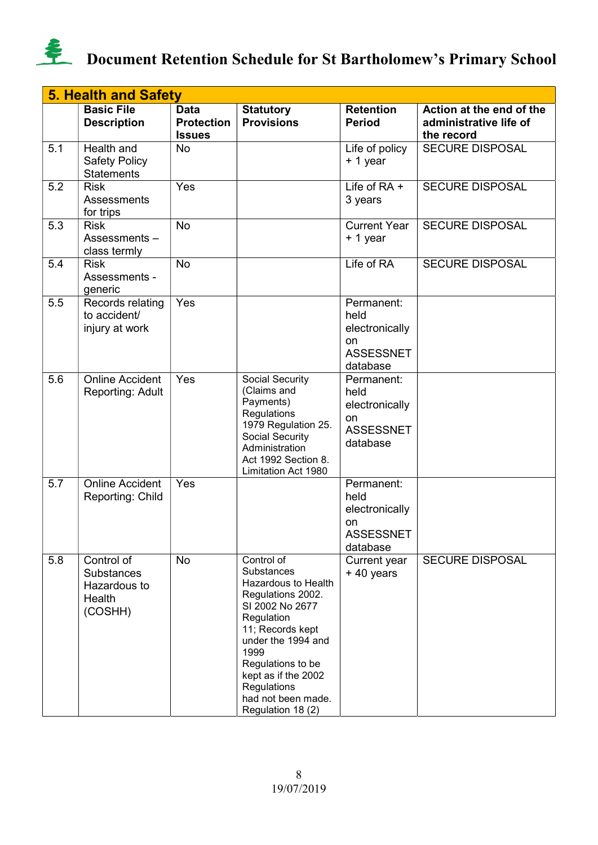

|     | <b>5. Health and Safety</b>                                          |                                                   |                                                                                                                                                                                                                                                               |                                                                            |                                                                  |  |  |  |
|-----|----------------------------------------------------------------------|---------------------------------------------------|---------------------------------------------------------------------------------------------------------------------------------------------------------------------------------------------------------------------------------------------------------------|----------------------------------------------------------------------------|------------------------------------------------------------------|--|--|--|
|     | <b>Basic File</b><br><b>Description</b>                              | <b>Data</b><br><b>Protection</b><br><b>Issues</b> | <b>Statutory</b><br><b>Provisions</b>                                                                                                                                                                                                                         | <b>Retention</b><br><b>Period</b>                                          | Action at the end of the<br>administrative life of<br>the record |  |  |  |
| 5.1 | Health and<br><b>Safety Policy</b><br><b>Statements</b>              | No                                                |                                                                                                                                                                                                                                                               | Life of policy<br>+ 1 year                                                 | <b>SECURE DISPOSAL</b>                                           |  |  |  |
| 5.2 | <b>Risk</b><br>Assessments<br>for trips                              | Yes                                               |                                                                                                                                                                                                                                                               | Life of $RA +$<br>3 years                                                  | <b>SECURE DISPOSAL</b>                                           |  |  |  |
| 5.3 | <b>Risk</b><br>Assessments-<br>class termly                          | <b>No</b>                                         |                                                                                                                                                                                                                                                               | <b>Current Year</b><br>+ 1 year                                            | <b>SECURE DISPOSAL</b>                                           |  |  |  |
| 5.4 | <b>Risk</b><br>Assessments -<br>generic                              | No                                                |                                                                                                                                                                                                                                                               | Life of RA                                                                 | <b>SECURE DISPOSAL</b>                                           |  |  |  |
| 5.5 | Records relating<br>to accident/<br>injury at work                   | Yes                                               |                                                                                                                                                                                                                                                               | Permanent:<br>held<br>electronically<br>on<br><b>ASSESSNET</b><br>database |                                                                  |  |  |  |
| 5.6 | <b>Online Accident</b><br>Reporting: Adult                           | Yes                                               | Social Security<br>(Claims and<br>Payments)<br>Regulations<br>1979 Regulation 25.<br>Social Security<br>Administration<br>Act 1992 Section 8.<br>Limitation Act 1980                                                                                          | Permanent:<br>held<br>electronically<br>on<br><b>ASSESSNET</b><br>database |                                                                  |  |  |  |
| 5.7 | <b>Online Accident</b><br>Reporting: Child                           | Yes                                               |                                                                                                                                                                                                                                                               | Permanent:<br>held<br>electronically<br>on<br><b>ASSESSNET</b><br>database |                                                                  |  |  |  |
| 5.8 | Control of<br><b>Substances</b><br>Hazardous to<br>Health<br>(COSHH) | No                                                | Control of<br>Substances<br>Hazardous to Health<br>Regulations 2002.<br>SI 2002 No 2677<br>Regulation<br>11; Records kept<br>under the 1994 and<br>1999<br>Regulations to be<br>kept as if the 2002<br>Regulations<br>had not been made.<br>Regulation 18 (2) | Current year<br>+40 years                                                  | <b>SECURE DISPOSAL</b>                                           |  |  |  |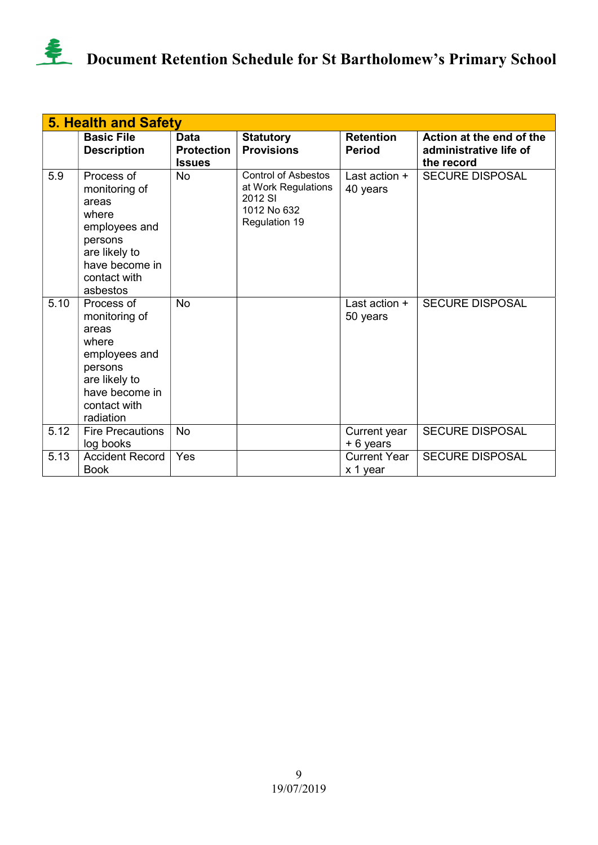

|      | <b>5. Health and Safety</b>                                                                                                               |                                                   |                                                                                                     |                                   |                                                                  |  |  |  |
|------|-------------------------------------------------------------------------------------------------------------------------------------------|---------------------------------------------------|-----------------------------------------------------------------------------------------------------|-----------------------------------|------------------------------------------------------------------|--|--|--|
|      | <b>Basic File</b><br><b>Description</b>                                                                                                   | <b>Data</b><br><b>Protection</b><br><b>Issues</b> | <b>Statutory</b><br><b>Provisions</b>                                                               | <b>Retention</b><br><b>Period</b> | Action at the end of the<br>administrative life of<br>the record |  |  |  |
| 5.9  | Process of<br>monitoring of<br>areas<br>where<br>employees and<br>persons<br>are likely to<br>have become in<br>contact with<br>asbestos  | <b>No</b>                                         | <b>Control of Asbestos</b><br>at Work Regulations<br>2012 SI<br>1012 No 632<br><b>Regulation 19</b> | Last action $+$<br>40 years       | <b>SECURE DISPOSAL</b>                                           |  |  |  |
| 5.10 | Process of<br>monitoring of<br>areas<br>where<br>employees and<br>persons<br>are likely to<br>have become in<br>contact with<br>radiation | <b>No</b>                                         |                                                                                                     | Last action $+$<br>50 years       | <b>SECURE DISPOSAL</b>                                           |  |  |  |
| 5.12 | <b>Fire Precautions</b><br>log books                                                                                                      | <b>No</b>                                         |                                                                                                     | Current year<br>+ 6 years         | <b>SECURE DISPOSAL</b>                                           |  |  |  |
| 5.13 | <b>Accident Record</b><br><b>Book</b>                                                                                                     | Yes                                               |                                                                                                     | <b>Current Year</b><br>x 1 year   | <b>SECURE DISPOSAL</b>                                           |  |  |  |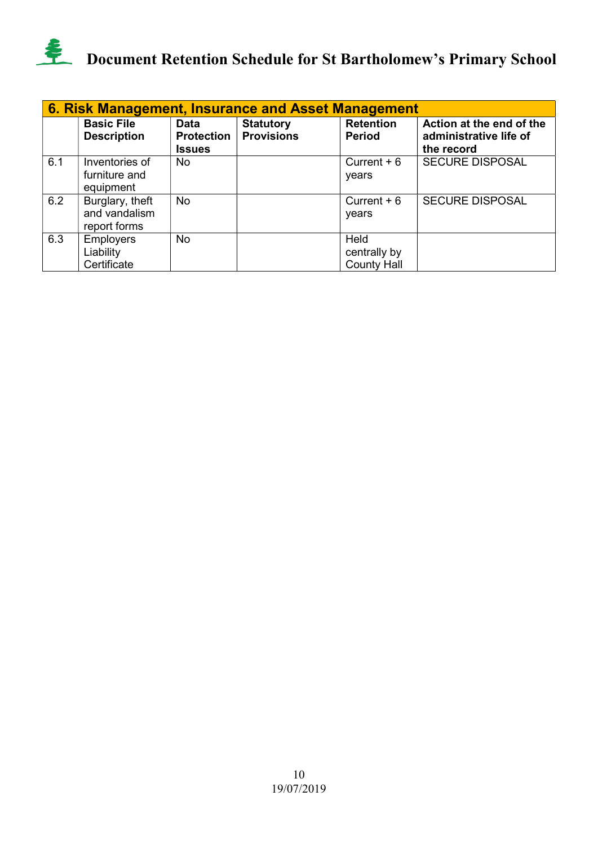

| 6. Risk Management, Insurance and Asset Management |                                                  |                                                   |                                       |                                            |                                                                  |  |  |  |
|----------------------------------------------------|--------------------------------------------------|---------------------------------------------------|---------------------------------------|--------------------------------------------|------------------------------------------------------------------|--|--|--|
|                                                    | <b>Basic File</b><br><b>Description</b>          | <b>Data</b><br><b>Protection</b><br><b>Issues</b> | <b>Statutory</b><br><b>Provisions</b> | <b>Retention</b><br><b>Period</b>          | Action at the end of the<br>administrative life of<br>the record |  |  |  |
| 6.1                                                | Inventories of<br>furniture and<br>equipment     | No                                                |                                       | Current $+6$<br>vears                      | <b>SECURE DISPOSAL</b>                                           |  |  |  |
| 6.2                                                | Burglary, theft<br>and vandalism<br>report forms | <b>No</b>                                         |                                       | Current $+6$<br>years                      | <b>SECURE DISPOSAL</b>                                           |  |  |  |
| 6.3                                                | <b>Employers</b><br>Liability<br>Certificate     | <b>No</b>                                         |                                       | Held<br>centrally by<br><b>County Hall</b> |                                                                  |  |  |  |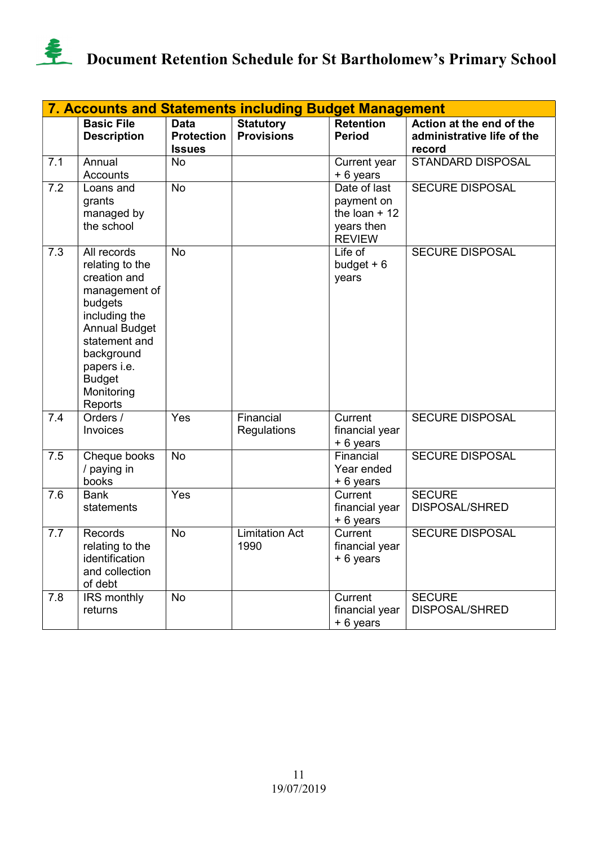

|     | <b>7. Accounts and Statements including Budget Management</b>                                                                                                                                               |                                                   |                                       |                                                                             |                                                                  |  |  |  |
|-----|-------------------------------------------------------------------------------------------------------------------------------------------------------------------------------------------------------------|---------------------------------------------------|---------------------------------------|-----------------------------------------------------------------------------|------------------------------------------------------------------|--|--|--|
|     | <b>Basic File</b><br><b>Description</b>                                                                                                                                                                     | <b>Data</b><br><b>Protection</b><br><b>Issues</b> | <b>Statutory</b><br><b>Provisions</b> | <b>Retention</b><br><b>Period</b>                                           | Action at the end of the<br>administrative life of the<br>record |  |  |  |
| 7.1 | Annual<br>Accounts                                                                                                                                                                                          | <b>No</b>                                         |                                       | Current year<br>+ 6 years                                                   | STANDARD DISPOSAL                                                |  |  |  |
| 7.2 | Loans and<br>grants<br>managed by<br>the school                                                                                                                                                             | <b>No</b>                                         |                                       | Date of last<br>payment on<br>the loan $+12$<br>years then<br><b>REVIEW</b> | <b>SECURE DISPOSAL</b>                                           |  |  |  |
| 7.3 | All records<br>relating to the<br>creation and<br>management of<br>budgets<br>including the<br><b>Annual Budget</b><br>statement and<br>background<br>papers i.e.<br><b>Budget</b><br>Monitoring<br>Reports | <b>No</b>                                         |                                       | Life of<br>budget $+6$<br>years                                             | <b>SECURE DISPOSAL</b>                                           |  |  |  |
| 7.4 | Orders /<br>Invoices                                                                                                                                                                                        | Yes                                               | Financial<br>Regulations              | Current<br>financial year<br>+ 6 years                                      | <b>SECURE DISPOSAL</b>                                           |  |  |  |
| 7.5 | Cheque books<br>/ paying in<br>books                                                                                                                                                                        | No                                                |                                       | Financial<br>Year ended<br>+ 6 years                                        | <b>SECURE DISPOSAL</b>                                           |  |  |  |
| 7.6 | <b>Bank</b><br>statements                                                                                                                                                                                   | Yes                                               |                                       | Current<br>financial year<br>+ 6 years                                      | <b>SECURE</b><br>DISPOSAL/SHRED                                  |  |  |  |
| 7.7 | Records<br>relating to the<br>identification<br>and collection<br>of debt                                                                                                                                   | No                                                | <b>Limitation Act</b><br>1990         | Current<br>financial year<br>+ 6 years                                      | <b>SECURE DISPOSAL</b>                                           |  |  |  |
| 7.8 | IRS monthly<br>returns                                                                                                                                                                                      | No                                                |                                       | Current<br>financial year<br>+ 6 years                                      | <b>SECURE</b><br><b>DISPOSAL/SHRED</b>                           |  |  |  |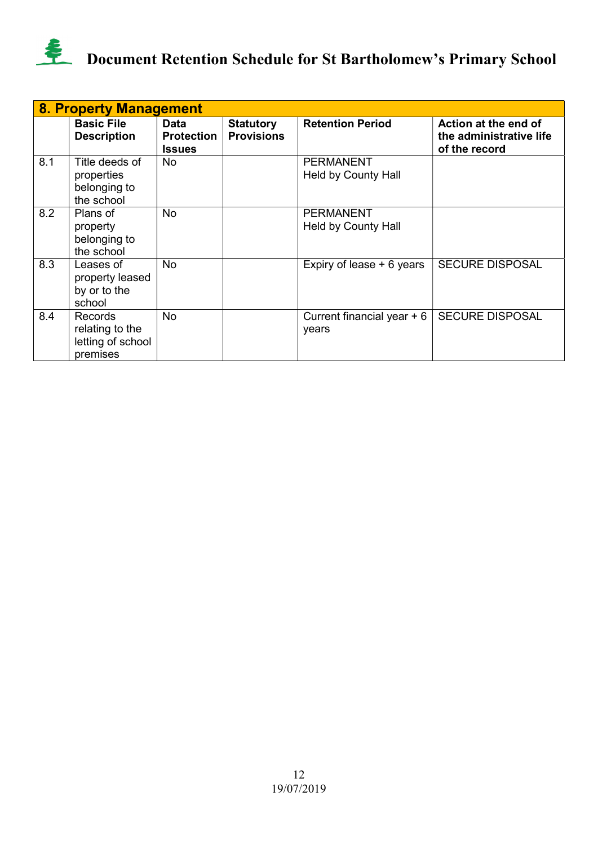

|     | 8. Property Management                                             |                                                   |                                       |                                         |                                                                  |  |  |  |  |
|-----|--------------------------------------------------------------------|---------------------------------------------------|---------------------------------------|-----------------------------------------|------------------------------------------------------------------|--|--|--|--|
|     | <b>Basic File</b><br><b>Description</b>                            | <b>Data</b><br><b>Protection</b><br><b>Issues</b> | <b>Statutory</b><br><b>Provisions</b> | <b>Retention Period</b>                 | Action at the end of<br>the administrative life<br>of the record |  |  |  |  |
| 8.1 | Title deeds of<br>properties<br>belonging to<br>the school         | No.                                               |                                       | <b>PERMANENT</b><br>Held by County Hall |                                                                  |  |  |  |  |
| 8.2 | Plans of<br>property<br>belonging to<br>the school                 | No                                                |                                       | <b>PERMANENT</b><br>Held by County Hall |                                                                  |  |  |  |  |
| 8.3 | Leases of<br>property leased<br>by or to the<br>school             | No                                                |                                       | Expiry of lease + 6 years               | <b>SECURE DISPOSAL</b>                                           |  |  |  |  |
| 8.4 | <b>Records</b><br>relating to the<br>letting of school<br>premises | <b>No</b>                                         |                                       | Current financial year $+6$<br>years    | <b>SECURE DISPOSAL</b>                                           |  |  |  |  |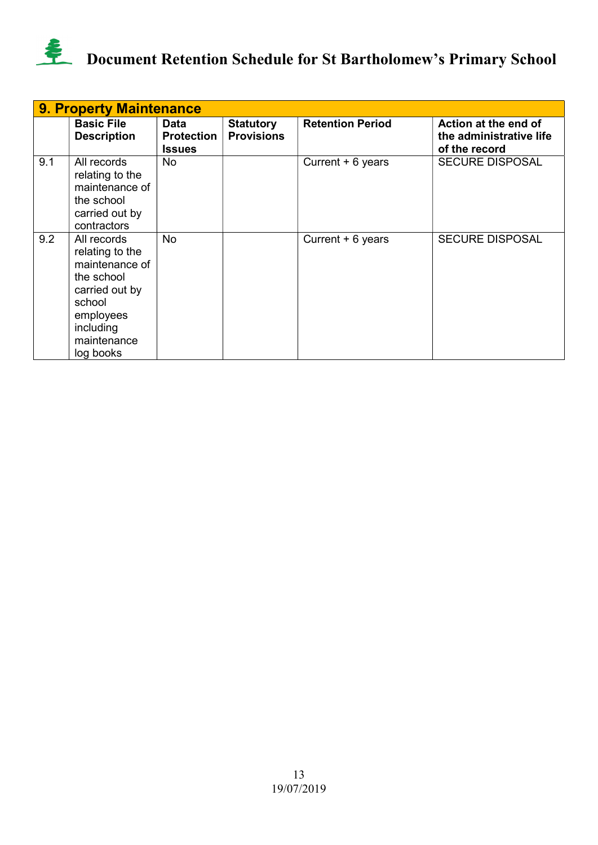

|     | <b>9. Property Maintenance</b>                                                                                                                   |                                            |                                       |                         |                                                                  |  |  |  |  |
|-----|--------------------------------------------------------------------------------------------------------------------------------------------------|--------------------------------------------|---------------------------------------|-------------------------|------------------------------------------------------------------|--|--|--|--|
|     | <b>Basic File</b><br><b>Description</b>                                                                                                          | Data<br><b>Protection</b><br><b>Issues</b> | <b>Statutory</b><br><b>Provisions</b> | <b>Retention Period</b> | Action at the end of<br>the administrative life<br>of the record |  |  |  |  |
| 9.1 | All records<br>relating to the<br>maintenance of<br>the school<br>carried out by<br>contractors                                                  | <b>No</b>                                  |                                       | Current + 6 years       | <b>SECURE DISPOSAL</b>                                           |  |  |  |  |
| 9.2 | All records<br>relating to the<br>maintenance of<br>the school<br>carried out by<br>school<br>employees<br>including<br>maintenance<br>log books | <b>No</b>                                  |                                       | Current + 6 years       | <b>SECURE DISPOSAL</b>                                           |  |  |  |  |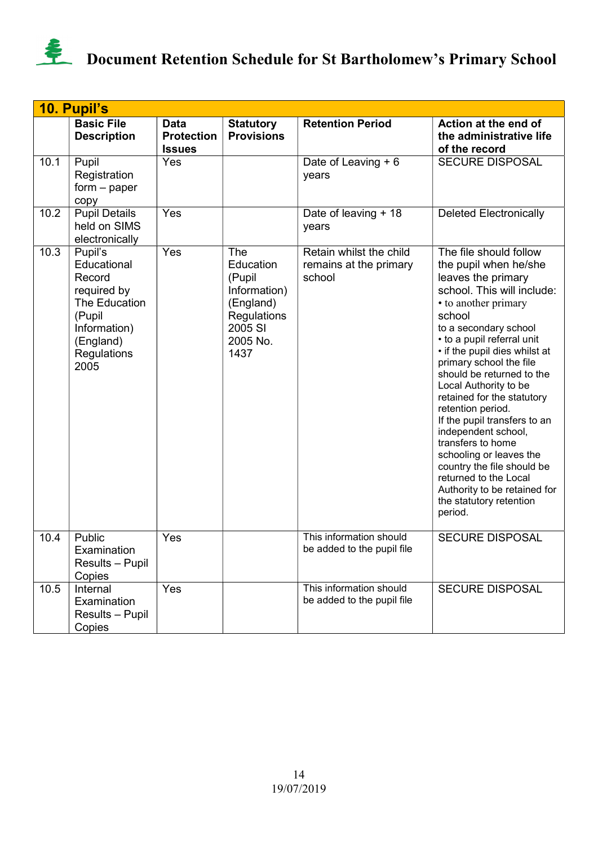

|      | 10. Pupil's                                                                                                                    |                                            |                                                                                                       |                                                             |                                                                                                                                                                                                                                                                                                                                                                                                                                                                                                                                                                                                       |
|------|--------------------------------------------------------------------------------------------------------------------------------|--------------------------------------------|-------------------------------------------------------------------------------------------------------|-------------------------------------------------------------|-------------------------------------------------------------------------------------------------------------------------------------------------------------------------------------------------------------------------------------------------------------------------------------------------------------------------------------------------------------------------------------------------------------------------------------------------------------------------------------------------------------------------------------------------------------------------------------------------------|
|      | <b>Basic File</b><br><b>Description</b>                                                                                        | Data<br><b>Protection</b><br><b>Issues</b> | <b>Statutory</b><br><b>Provisions</b>                                                                 | <b>Retention Period</b>                                     | Action at the end of<br>the administrative life<br>of the record                                                                                                                                                                                                                                                                                                                                                                                                                                                                                                                                      |
| 10.1 | Pupil<br>Registration<br>$form - paper$<br>copy                                                                                | <b>Yes</b>                                 |                                                                                                       | Date of Leaving + 6<br>years                                | <b>SECURE DISPOSAL</b>                                                                                                                                                                                                                                                                                                                                                                                                                                                                                                                                                                                |
| 10.2 | <b>Pupil Details</b><br>held on SIMS<br>electronically                                                                         | Yes                                        |                                                                                                       | Date of leaving + 18<br>years                               | <b>Deleted Electronically</b>                                                                                                                                                                                                                                                                                                                                                                                                                                                                                                                                                                         |
| 10.3 | Pupil's<br>Educational<br>Record<br>required by<br>The Education<br>(Pupil<br>Information)<br>(England)<br>Regulations<br>2005 | Yes                                        | The<br>Education<br>(Pupil<br>Information)<br>(England)<br>Regulations<br>2005 SI<br>2005 No.<br>1437 | Retain whilst the child<br>remains at the primary<br>school | The file should follow<br>the pupil when he/she<br>leaves the primary<br>school. This will include:<br>• to another primary<br>school<br>to a secondary school<br>• to a pupil referral unit<br>• if the pupil dies whilst at<br>primary school the file<br>should be returned to the<br>Local Authority to be<br>retained for the statutory<br>retention period.<br>If the pupil transfers to an<br>independent school,<br>transfers to home<br>schooling or leaves the<br>country the file should be<br>returned to the Local<br>Authority to be retained for<br>the statutory retention<br>period. |
| 10.4 | Public<br>Examination<br>Results - Pupil<br>Copies                                                                             | Yes                                        |                                                                                                       | This information should<br>be added to the pupil file       | <b>SECURE DISPOSAL</b>                                                                                                                                                                                                                                                                                                                                                                                                                                                                                                                                                                                |
| 10.5 | Internal<br>Examination<br>Results - Pupil<br>Copies                                                                           | Yes                                        |                                                                                                       | This information should<br>be added to the pupil file       | <b>SECURE DISPOSAL</b>                                                                                                                                                                                                                                                                                                                                                                                                                                                                                                                                                                                |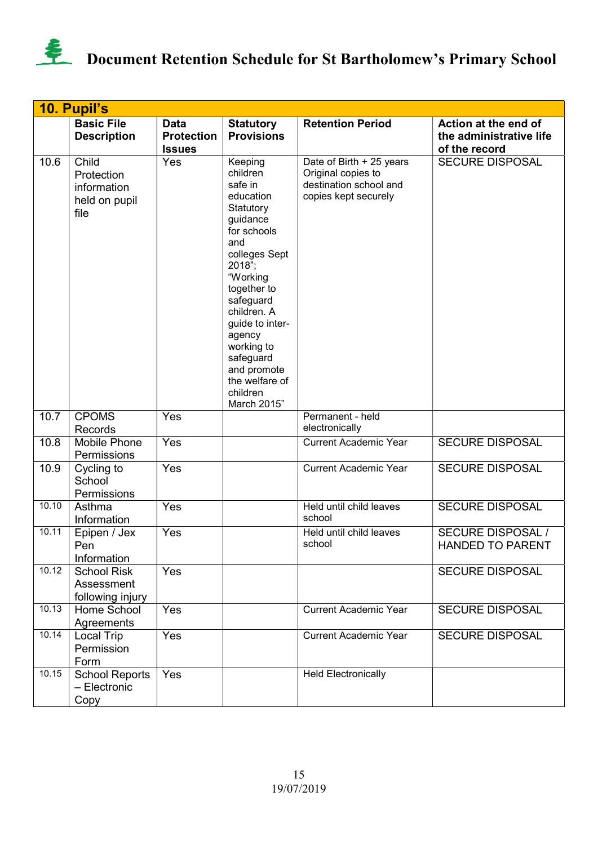

|       | 10. Pupil's                                                 |                                                   |                                                                                                                                                                                                                                                                                                  |                                                                                                  |                                                                  |
|-------|-------------------------------------------------------------|---------------------------------------------------|--------------------------------------------------------------------------------------------------------------------------------------------------------------------------------------------------------------------------------------------------------------------------------------------------|--------------------------------------------------------------------------------------------------|------------------------------------------------------------------|
|       | <b>Basic File</b><br><b>Description</b>                     | <b>Data</b><br><b>Protection</b><br><b>Issues</b> | <b>Statutory</b><br><b>Provisions</b>                                                                                                                                                                                                                                                            | <b>Retention Period</b>                                                                          | Action at the end of<br>the administrative life<br>of the record |
| 10.6  | Child<br>Protection<br>information<br>held on pupil<br>file | Yes                                               | Keeping<br>children<br>safe in<br>education<br>Statutory<br>guidance<br>for schools<br>and<br>colleges Sept<br>2018";<br>"Working<br>together to<br>safeguard<br>children. A<br>guide to inter-<br>agency<br>working to<br>safeguard<br>and promote<br>the welfare of<br>children<br>March 2015" | Date of Birth + 25 years<br>Original copies to<br>destination school and<br>copies kept securely | <b>SECURE DISPOSAL</b>                                           |
| 10.7  | <b>CPOMS</b><br>Records                                     | Yes                                               |                                                                                                                                                                                                                                                                                                  | Permanent - held<br>electronically                                                               |                                                                  |
| 10.8  | Mobile Phone<br>Permissions                                 | Yes                                               |                                                                                                                                                                                                                                                                                                  | <b>Current Academic Year</b>                                                                     | <b>SECURE DISPOSAL</b>                                           |
| 10.9  | Cycling to<br>School<br>Permissions                         | Yes                                               |                                                                                                                                                                                                                                                                                                  | <b>Current Academic Year</b>                                                                     | <b>SECURE DISPOSAL</b>                                           |
| 10.10 | Asthma<br>Information                                       | Yes                                               |                                                                                                                                                                                                                                                                                                  | Held until child leaves<br>school                                                                | <b>SECURE DISPOSAL</b>                                           |
| 10.11 | Epipen / Jex<br>Pen<br>Information                          | Yes                                               |                                                                                                                                                                                                                                                                                                  | Held until child leaves<br>school                                                                | <b>SECURE DISPOSAL /</b><br><b>HANDED TO PARENT</b>              |
| 10.12 | <b>School Risk</b><br>Assessment<br>following injury        | Yes                                               |                                                                                                                                                                                                                                                                                                  |                                                                                                  | <b>SECURE DISPOSAL</b>                                           |
| 10.13 | Home School<br>Agreements                                   | Yes                                               |                                                                                                                                                                                                                                                                                                  | <b>Current Academic Year</b>                                                                     | <b>SECURE DISPOSAL</b>                                           |
| 10.14 | <b>Local Trip</b><br>Permission<br>Form                     | Yes                                               |                                                                                                                                                                                                                                                                                                  | <b>Current Academic Year</b>                                                                     | <b>SECURE DISPOSAL</b>                                           |
| 10.15 | <b>School Reports</b><br>- Electronic<br>Copy               | Yes                                               |                                                                                                                                                                                                                                                                                                  | <b>Held Electronically</b>                                                                       |                                                                  |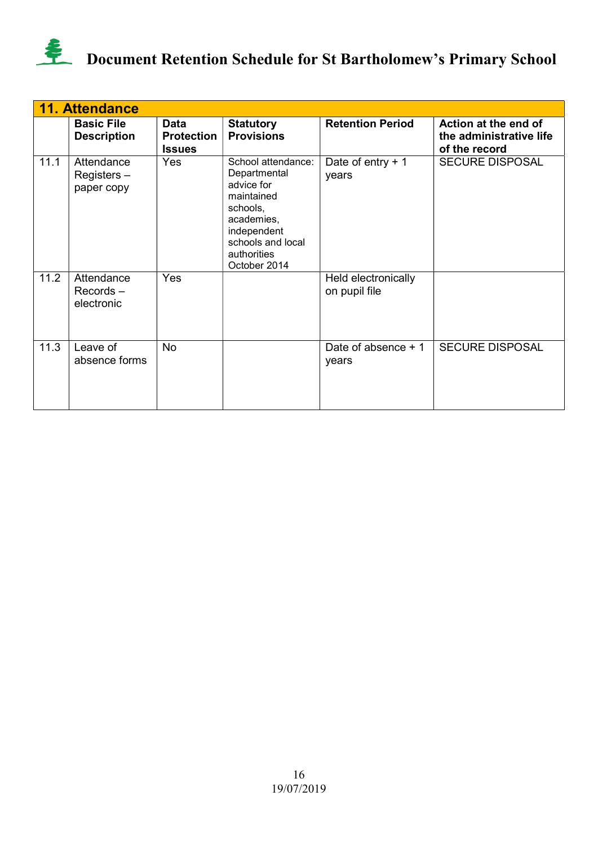

|      | <b>11. Attendance</b>                   |                                            |                                                                                                                                                             |                                      |                                                                  |
|------|-----------------------------------------|--------------------------------------------|-------------------------------------------------------------------------------------------------------------------------------------------------------------|--------------------------------------|------------------------------------------------------------------|
|      | <b>Basic File</b><br><b>Description</b> | Data<br><b>Protection</b><br><b>Issues</b> | <b>Statutory</b><br><b>Provisions</b>                                                                                                                       | <b>Retention Period</b>              | Action at the end of<br>the administrative life<br>of the record |
| 11.1 | Attendance<br>Registers-<br>paper copy  | Yes                                        | School attendance:<br>Departmental<br>advice for<br>maintained<br>schools,<br>academies,<br>independent<br>schools and local<br>authorities<br>October 2014 | Date of entry $+1$<br>years          | <b>SECURE DISPOSAL</b>                                           |
| 11.2 | Attendance<br>$Records -$<br>electronic | Yes                                        |                                                                                                                                                             | Held electronically<br>on pupil file |                                                                  |
| 11.3 | Leave of<br>absence forms               | <b>No</b>                                  |                                                                                                                                                             | Date of absence $+1$<br>years        | <b>SECURE DISPOSAL</b>                                           |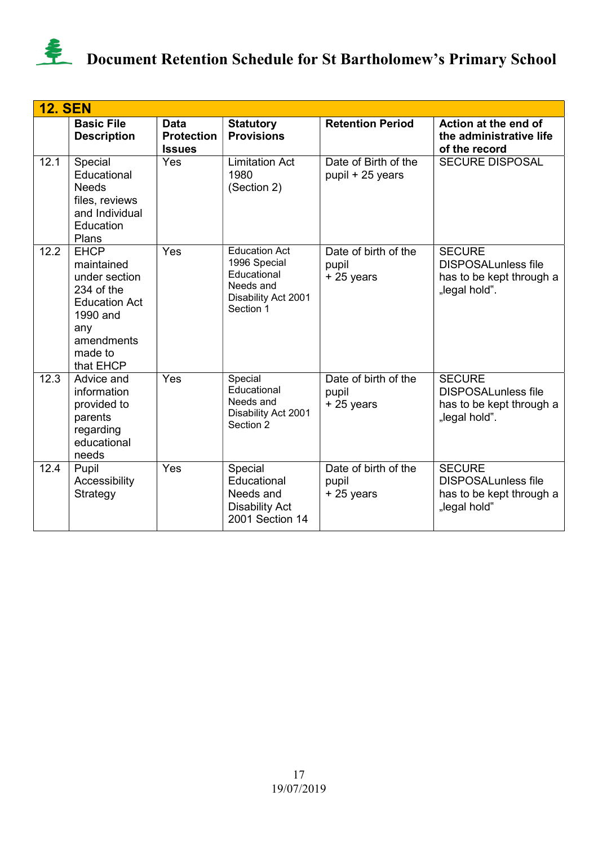

|      | <b>12. SEN</b>                                                                                                                            |                                                   |                                                                                                      |                                              |                                                                                          |  |  |  |
|------|-------------------------------------------------------------------------------------------------------------------------------------------|---------------------------------------------------|------------------------------------------------------------------------------------------------------|----------------------------------------------|------------------------------------------------------------------------------------------|--|--|--|
|      | <b>Basic File</b><br><b>Description</b>                                                                                                   | <b>Data</b><br><b>Protection</b><br><b>Issues</b> | <b>Statutory</b><br><b>Provisions</b>                                                                | <b>Retention Period</b>                      | Action at the end of<br>the administrative life<br>of the record                         |  |  |  |
| 12.1 | Special<br>Educational<br><b>Needs</b><br>files, reviews<br>and Individual<br>Education<br>Plans                                          | Yes                                               | <b>Limitation Act</b><br>1980<br>(Section 2)                                                         | Date of Birth of the<br>pupil + 25 years     | <b>SECURE DISPOSAL</b>                                                                   |  |  |  |
| 12.2 | <b>EHCP</b><br>maintained<br>under section<br>234 of the<br><b>Education Act</b><br>1990 and<br>any<br>amendments<br>made to<br>that EHCP | Yes                                               | <b>Education Act</b><br>1996 Special<br>Educational<br>Needs and<br>Disability Act 2001<br>Section 1 | Date of birth of the<br>pupil<br>+25 years   | <b>SECURE</b><br><b>DISPOSALunless file</b><br>has to be kept through a<br>"legal hold". |  |  |  |
| 12.3 | Advice and<br>information<br>provided to<br>parents<br>regarding<br>educational<br>needs                                                  | Yes                                               | Special<br>Educational<br>Needs and<br>Disability Act 2001<br>Section 2                              | Date of birth of the<br>pupil<br>+25 years   | <b>SECURE</b><br><b>DISPOSALunless file</b><br>has to be kept through a<br>"legal hold". |  |  |  |
| 12.4 | Pupil<br>Accessibility<br>Strategy                                                                                                        | Yes                                               | Special<br>Educational<br>Needs and<br><b>Disability Act</b><br>2001 Section 14                      | Date of birth of the<br>pupil<br>$+25$ years | <b>SECURE</b><br><b>DISPOSALunless file</b><br>has to be kept through a<br>"legal hold"  |  |  |  |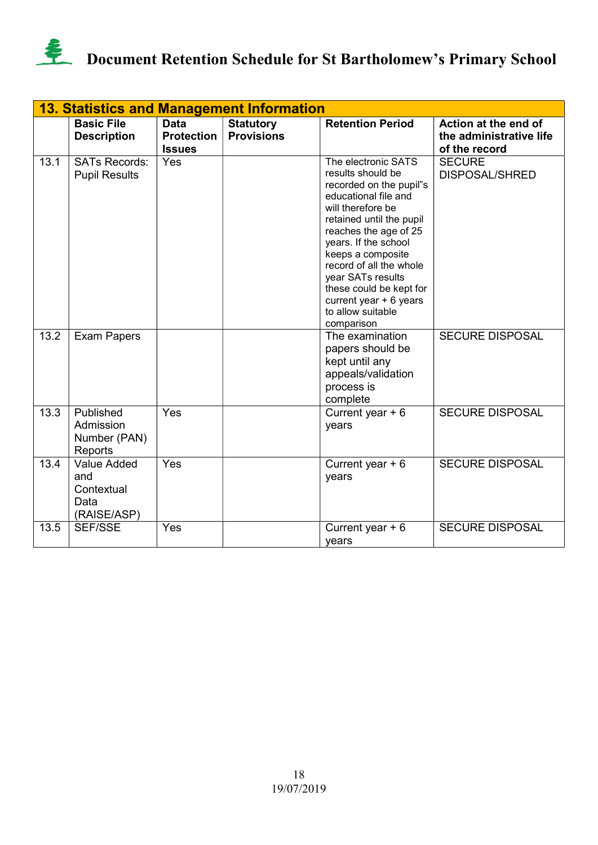

|      | <b>13. Statistics and Management Information</b>               |                                                   |                                       |                                                                                                                                                                                                                                                                                                                                                             |                                                                  |  |
|------|----------------------------------------------------------------|---------------------------------------------------|---------------------------------------|-------------------------------------------------------------------------------------------------------------------------------------------------------------------------------------------------------------------------------------------------------------------------------------------------------------------------------------------------------------|------------------------------------------------------------------|--|
|      | <b>Basic File</b><br><b>Description</b>                        | <b>Data</b><br><b>Protection</b><br><b>Issues</b> | <b>Statutory</b><br><b>Provisions</b> | <b>Retention Period</b>                                                                                                                                                                                                                                                                                                                                     | Action at the end of<br>the administrative life<br>of the record |  |
| 13.1 | <b>SATs Records:</b><br><b>Pupil Results</b>                   | Yes                                               |                                       | The electronic SATS<br>results should be<br>recorded on the pupil"s<br>educational file and<br>will therefore be<br>retained until the pupil<br>reaches the age of 25<br>years. If the school<br>keeps a composite<br>record of all the whole<br>year SATs results<br>these could be kept for<br>current year $+6$ years<br>to allow suitable<br>comparison | <b>SECURE</b><br><b>DISPOSAL/SHRED</b>                           |  |
| 13.2 | <b>Exam Papers</b>                                             |                                                   |                                       | The examination<br>papers should be<br>kept until any<br>appeals/validation<br>process is<br>complete                                                                                                                                                                                                                                                       | <b>SECURE DISPOSAL</b>                                           |  |
| 13.3 | Published<br>Admission<br>Number (PAN)<br>Reports              | Yes                                               |                                       | Current year $+6$<br>years                                                                                                                                                                                                                                                                                                                                  | <b>SECURE DISPOSAL</b>                                           |  |
| 13.4 | <b>Value Added</b><br>and<br>Contextual<br>Data<br>(RAISE/ASP) | Yes                                               |                                       | Current year $+6$<br>years                                                                                                                                                                                                                                                                                                                                  | <b>SECURE DISPOSAL</b>                                           |  |
| 13.5 | <b>SEF/SSE</b>                                                 | Yes                                               |                                       | Current year $+6$<br>years                                                                                                                                                                                                                                                                                                                                  | <b>SECURE DISPOSAL</b>                                           |  |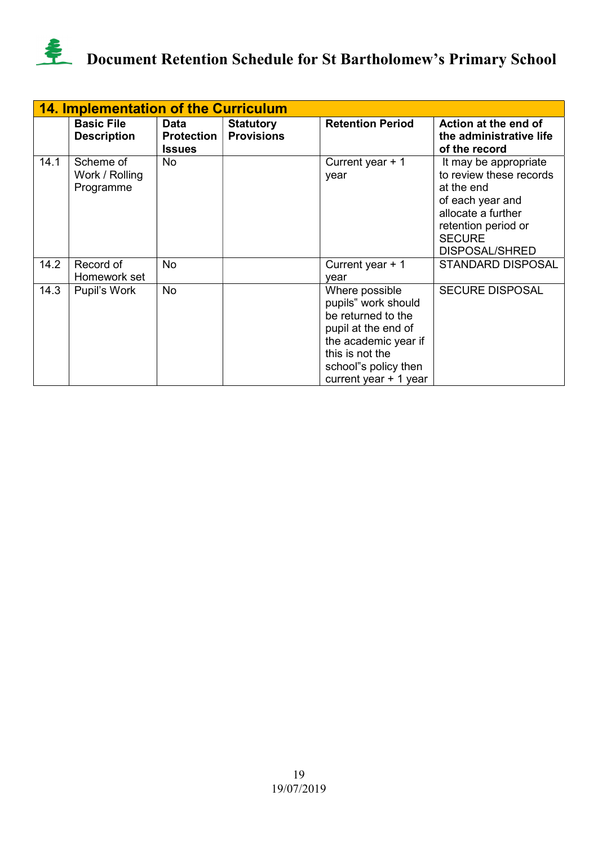

|      | <b>14. Implementation of the Curriculum</b> |                                            |                                       |                                                                                                                                                                                 |                                                                                                                                                                           |  |  |  |
|------|---------------------------------------------|--------------------------------------------|---------------------------------------|---------------------------------------------------------------------------------------------------------------------------------------------------------------------------------|---------------------------------------------------------------------------------------------------------------------------------------------------------------------------|--|--|--|
|      | <b>Basic File</b><br><b>Description</b>     | Data<br><b>Protection</b><br><b>Issues</b> | <b>Statutory</b><br><b>Provisions</b> | <b>Retention Period</b>                                                                                                                                                         | Action at the end of<br>the administrative life<br>of the record                                                                                                          |  |  |  |
| 14.1 | Scheme of<br>Work / Rolling<br>Programme    | No.                                        |                                       | Current year $+1$<br>year                                                                                                                                                       | It may be appropriate<br>to review these records<br>at the end<br>of each year and<br>allocate a further<br>retention period or<br><b>SECURE</b><br><b>DISPOSAL/SHRED</b> |  |  |  |
| 14.2 | Record of<br>Homework set                   | No                                         |                                       | Current year $+1$<br>vear                                                                                                                                                       | <b>STANDARD DISPOSAL</b>                                                                                                                                                  |  |  |  |
| 14.3 | Pupil's Work                                | No                                         |                                       | Where possible<br>pupils" work should<br>be returned to the<br>pupil at the end of<br>the academic year if<br>this is not the<br>school"s policy then<br>current year $+1$ year | <b>SECURE DISPOSAL</b>                                                                                                                                                    |  |  |  |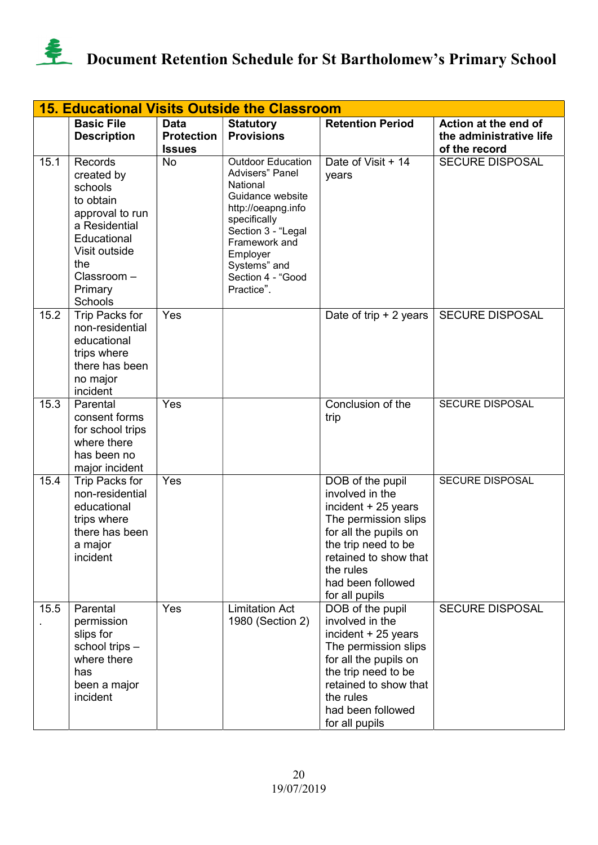

|      | <b>15. Educational Visits Outside the Classroom</b>                                                                                                          |                                                   |                                                                                                                                                                                                                                 |                                                                                                                                                                                                                 |                                                                  |  |  |
|------|--------------------------------------------------------------------------------------------------------------------------------------------------------------|---------------------------------------------------|---------------------------------------------------------------------------------------------------------------------------------------------------------------------------------------------------------------------------------|-----------------------------------------------------------------------------------------------------------------------------------------------------------------------------------------------------------------|------------------------------------------------------------------|--|--|
|      | <b>Basic File</b><br><b>Description</b>                                                                                                                      | <b>Data</b><br><b>Protection</b><br><b>Issues</b> | <b>Statutory</b><br><b>Provisions</b>                                                                                                                                                                                           | <b>Retention Period</b>                                                                                                                                                                                         | Action at the end of<br>the administrative life<br>of the record |  |  |
| 15.1 | Records<br>created by<br>schools<br>to obtain<br>approval to run<br>a Residential<br>Educational<br>Visit outside<br>the<br>Classroom-<br>Primary<br>Schools | <b>No</b>                                         | <b>Outdoor Education</b><br><b>Advisers</b> " Panel<br>National<br>Guidance website<br>http://oeapng.info<br>specifically<br>Section 3 - "Legal<br>Framework and<br>Employer<br>Systems" and<br>Section 4 - "Good<br>Practice". | Date of Visit + 14<br>years                                                                                                                                                                                     | <b>SECURE DISPOSAL</b>                                           |  |  |
| 15.2 | Trip Packs for<br>non-residential<br>educational<br>trips where<br>there has been<br>no major<br>incident                                                    | Yes                                               |                                                                                                                                                                                                                                 | Date of trip $+2$ years                                                                                                                                                                                         | <b>SECURE DISPOSAL</b>                                           |  |  |
| 15.3 | Parental<br>consent forms<br>for school trips<br>where there<br>has been no<br>major incident                                                                | Yes                                               |                                                                                                                                                                                                                                 | Conclusion of the<br>trip                                                                                                                                                                                       | <b>SECURE DISPOSAL</b>                                           |  |  |
| 15.4 | Trip Packs for<br>non-residential<br>educational<br>trips where<br>there has been<br>a major<br>incident                                                     | Yes                                               |                                                                                                                                                                                                                                 | DOB of the pupil<br>involved in the<br>incident + 25 years<br>The permission slips<br>for all the pupils on<br>the trip need to be<br>retained to show that<br>the rules<br>had been followed<br>for all pupils | SECURE DISPOSAL                                                  |  |  |
| 15.5 | Parental<br>permission<br>slips for<br>school trips -<br>where there<br>has<br>been a major<br>incident                                                      | Yes                                               | <b>Limitation Act</b><br>1980 (Section 2)                                                                                                                                                                                       | DOB of the pupil<br>involved in the<br>incident + 25 years<br>The permission slips<br>for all the pupils on<br>the trip need to be<br>retained to show that<br>the rules<br>had been followed<br>for all pupils | <b>SECURE DISPOSAL</b>                                           |  |  |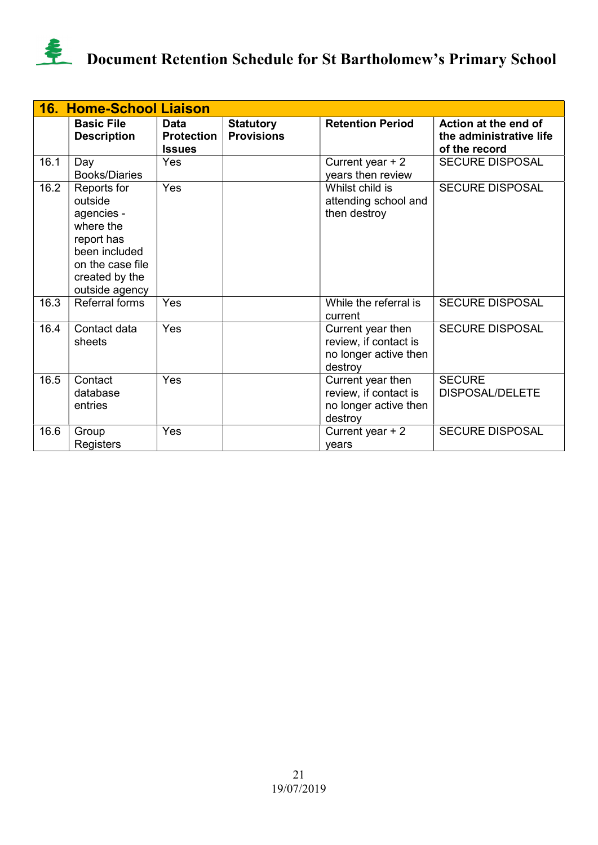

|      | <b>16. Home-School Liaison</b>                                                                                                           |                                                   |                                       |                                                                                |                                                                  |
|------|------------------------------------------------------------------------------------------------------------------------------------------|---------------------------------------------------|---------------------------------------|--------------------------------------------------------------------------------|------------------------------------------------------------------|
|      | <b>Basic File</b><br><b>Description</b>                                                                                                  | <b>Data</b><br><b>Protection</b><br><b>Issues</b> | <b>Statutory</b><br><b>Provisions</b> | <b>Retention Period</b>                                                        | Action at the end of<br>the administrative life<br>of the record |
| 16.1 | Day<br><b>Books/Diaries</b>                                                                                                              | Yes                                               |                                       | Current year $+2$<br>years then review                                         | <b>SECURE DISPOSAL</b>                                           |
| 16.2 | Reports for<br>outside<br>agencies -<br>where the<br>report has<br>been included<br>on the case file<br>created by the<br>outside agency | Yes                                               |                                       | Whilst child is<br>attending school and<br>then destroy                        | <b>SECURE DISPOSAL</b>                                           |
| 16.3 | <b>Referral forms</b>                                                                                                                    | Yes                                               |                                       | While the referral is<br>current                                               | <b>SECURE DISPOSAL</b>                                           |
| 16.4 | Contact data<br>sheets                                                                                                                   | Yes                                               |                                       | Current year then<br>review, if contact is<br>no longer active then<br>destroy | <b>SECURE DISPOSAL</b>                                           |
| 16.5 | Contact<br>database<br>entries                                                                                                           | Yes                                               |                                       | Current year then<br>review, if contact is<br>no longer active then<br>destroy | <b>SECURE</b><br><b>DISPOSAL/DELETE</b>                          |
| 16.6 | Group<br>Registers                                                                                                                       | Yes                                               |                                       | Current year $+2$<br>vears                                                     | <b>SECURE DISPOSAL</b>                                           |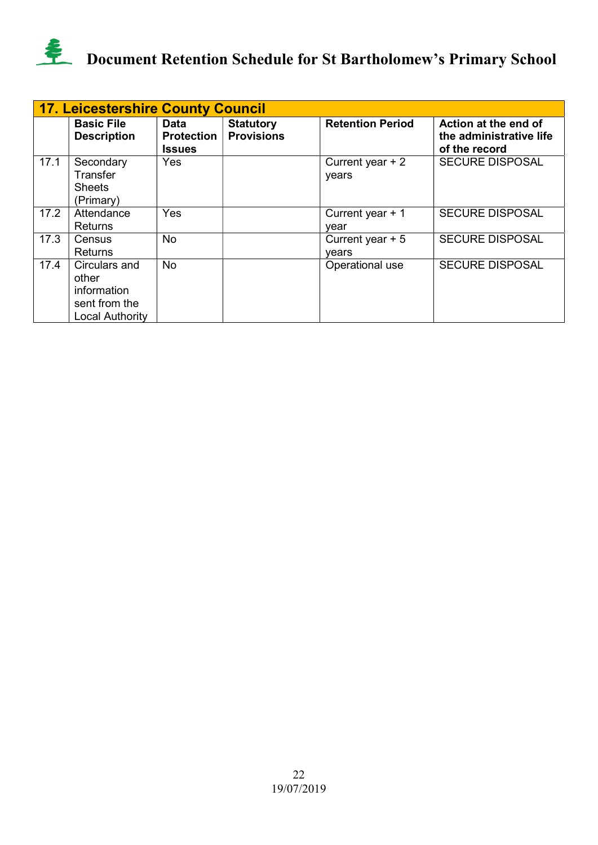

|      | <b>17. Leicestershire County Council</b>                                         |                                            |                                       |                            |                                                                  |  |  |  |
|------|----------------------------------------------------------------------------------|--------------------------------------------|---------------------------------------|----------------------------|------------------------------------------------------------------|--|--|--|
|      | <b>Basic File</b><br><b>Description</b>                                          | Data<br><b>Protection</b><br><b>Issues</b> | <b>Statutory</b><br><b>Provisions</b> | <b>Retention Period</b>    | Action at the end of<br>the administrative life<br>of the record |  |  |  |
| 17.1 | Secondary<br>Transfer<br><b>Sheets</b><br>(Primary)                              | Yes                                        |                                       | Current year $+2$<br>years | <b>SECURE DISPOSAL</b>                                           |  |  |  |
| 17.2 | Attendance<br>Returns                                                            | Yes                                        |                                       | Current year $+1$<br>vear  | <b>SECURE DISPOSAL</b>                                           |  |  |  |
| 17.3 | Census<br><b>Returns</b>                                                         | No                                         |                                       | Current year $+5$<br>vears | <b>SECURE DISPOSAL</b>                                           |  |  |  |
| 17.4 | Circulars and<br>other<br>information<br>sent from the<br><b>Local Authority</b> | No.                                        |                                       | Operational use            | <b>SECURE DISPOSAL</b>                                           |  |  |  |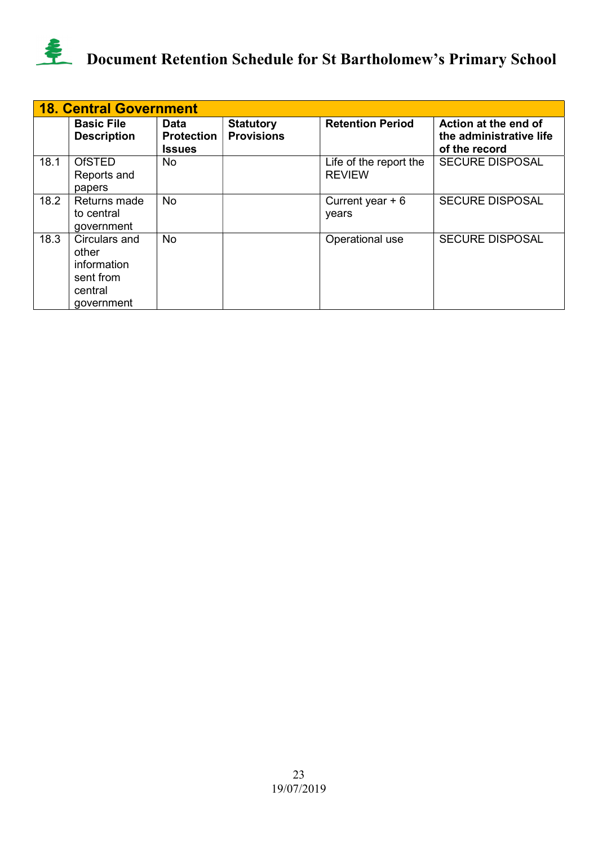

|      | <b>18. Central Government</b>                                               |                                            |                                       |                                         |                                                                  |  |  |  |
|------|-----------------------------------------------------------------------------|--------------------------------------------|---------------------------------------|-----------------------------------------|------------------------------------------------------------------|--|--|--|
|      | <b>Basic File</b><br><b>Description</b>                                     | Data<br><b>Protection</b><br><b>Issues</b> | <b>Statutory</b><br><b>Provisions</b> | <b>Retention Period</b>                 | Action at the end of<br>the administrative life<br>of the record |  |  |  |
| 18.1 | <b>OfSTED</b><br>Reports and<br>papers                                      | No.                                        |                                       | Life of the report the<br><b>REVIEW</b> | <b>SECURE DISPOSAL</b>                                           |  |  |  |
| 18.2 | Returns made<br>to central<br>government                                    | <b>No</b>                                  |                                       | Current year $+6$<br>years              | <b>SECURE DISPOSAL</b>                                           |  |  |  |
| 18.3 | Circulars and<br>other<br>information<br>sent from<br>central<br>government | No.                                        |                                       | Operational use                         | <b>SECURE DISPOSAL</b>                                           |  |  |  |